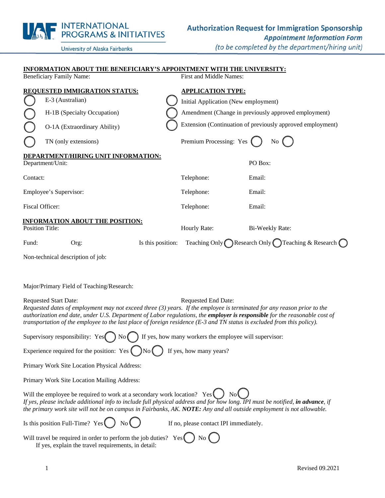|                                 | <b>INTERNATIONAL<br/>PROGRAMS &amp; INITIATIVES</b>                                                                 |                                                     | <b>Authorization Request for Immigration Sponsorship</b><br><b>Appointment Information Form</b> |
|---------------------------------|---------------------------------------------------------------------------------------------------------------------|-----------------------------------------------------|-------------------------------------------------------------------------------------------------|
|                                 | University of Alaska Fairbanks                                                                                      |                                                     | (to be completed by the department/hiring unit)                                                 |
| <b>Beneficiary Family Name:</b> | <b>INFORMATION ABOUT THE BENEFICIARY'S APPOINTMENT WITH THE UNIVERSITY:</b><br><b>REQUESTED IMMIGRATION STATUS:</b> | First and Middle Names:<br><b>APPLICATION TYPE:</b> |                                                                                                 |
|                                 | E-3 (Australian)                                                                                                    | Initial Application (New employment)                |                                                                                                 |
|                                 | H-1B (Specialty Occupation)                                                                                         |                                                     | Amendment (Change in previously approved employment)                                            |
|                                 | O-1A (Extraordinary Ability)                                                                                        |                                                     | Extension (Continuation of previously approved employment)                                      |
|                                 | TN (only extensions)                                                                                                | Premium Processing: Yes                             | $\overline{N_{0}}$ (                                                                            |
| Department/Unit:                | <b>DEPARTMENT/HIRING UNIT INFORMATION:</b>                                                                          |                                                     | PO Box:                                                                                         |
| Contact:                        |                                                                                                                     | Telephone:                                          | Email:                                                                                          |
| Employee's Supervisor:          |                                                                                                                     | Telephone:                                          | Email:                                                                                          |
| Fiscal Officer:                 |                                                                                                                     | Telephone:                                          | Email:                                                                                          |
| <b>Position Title:</b>          | <b>INFORMATION ABOUT THE POSITION:</b>                                                                              | Hourly Rate:                                        | Bi-Weekly Rate:                                                                                 |
| Fund:                           | Is this position:<br>Org:                                                                                           |                                                     | Teaching Only Research Only Teaching & Research C                                               |
|                                 | Non-technical description of job:                                                                                   |                                                     |                                                                                                 |

Major/Primary Field of Teaching/Research:

INITEDNIATIONIAL

Requested Start Date: Requested End Date: *Requested dates of employment may not exceed three (3) years. If the employee is terminated for any reason prior to the authorization end date, under U.S. Department of Labor regulations, the employer is responsible for the reasonable cost of transportation of the employee to the last place of foreign residence (E-3 and TN status is excluded from this policy).* 

|  | Supervisory responsibility: Yes $\bigcap$ No $\bigcap$ If yes, how many workers the employee will supervisor: |
|--|---------------------------------------------------------------------------------------------------------------|
|  |                                                                                                               |

Experience required for the position: Yes  $\Box$  No  $\Box$  If yes, how many years?

Primary Work Site Location Physical Address:

Primary Work Site Location Mailing Address:

Will the employee be required to work at a secondary work location? Yes  $\Box$  No If yes, please include additional info to include full physical address and for how long. IPI must be notified, in advance, if *the primary work site will not be on campus in Fairbanks, AK. NOTE: Any and all outside employment is not allowable.* 

Is this position Full-Time? Yes  $\left( \quad \right)$  No  $\left( \quad \right)$  If no, please contact IPI immediately.

Will travel be required in order to perform the job duties? Yes If yes, explain the travel requirements, in detail: